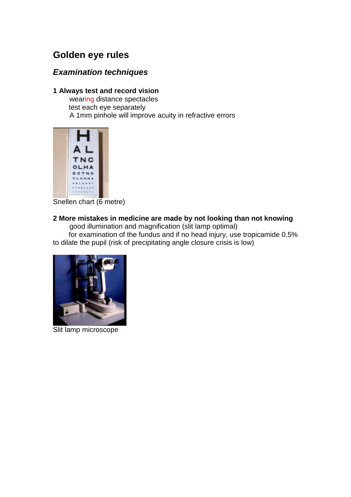# **Golden eye rules**

## **Examination techniques**

## **1 Always test and record vision**

 wearing distance spectacles test each eye separately A 1mm pinhole will improve acuity in refractive errors



Snellen chart (6 metre)

## **2 More mistakes in medicine are made by not looking than not knowing**

 good illumination and magnification (slit lamp optimal) for examination of the fundus and if no head injury, use tropicamide 0.5% to dilate the pupil (risk of precipitating angle closure crisis is low)



Slit lamp microscope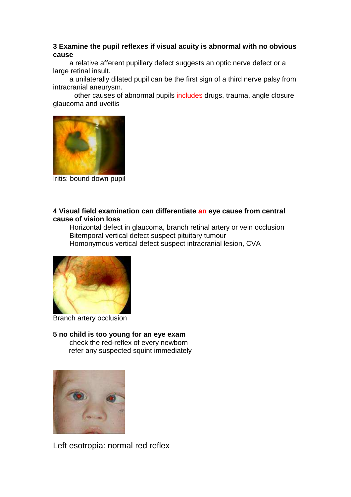### **3 Examine the pupil reflexes if visual acuity is abnormal with no obvious cause**

 a relative afferent pupillary defect suggests an optic nerve defect or a large retinal insult.

 a unilaterally dilated pupil can be the first sign of a third nerve palsy from intracranial aneurysm.

 other causes of abnormal pupils includes drugs, trauma, angle closure glaucoma and uveitis



Iritis: bound down pupil

### **4 Visual field examination can differentiate an eye cause from central cause of vision loss**

 Horizontal defect in glaucoma, branch retinal artery or vein occlusion Bitemporal vertical defect suspect pituitary tumour Homonymous vertical defect suspect intracranial lesion, CVA



Branch artery occlusion

#### **5 no child is too young for an eye exam** check the red-reflex of every newborn refer any suspected squint immediately



Left esotropia: normal red reflex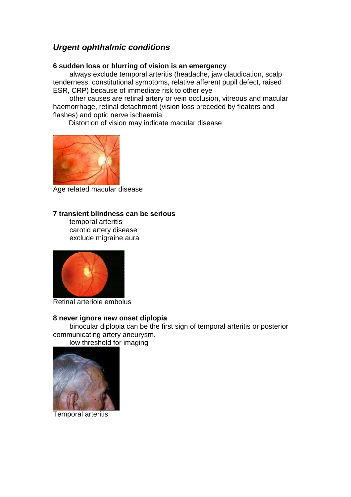## **Urgent ophthalmic conditions**

#### **6 sudden loss or blurring of vision is an emergency**

 always exclude temporal arteritis (headache, jaw claudication, scalp tenderness, constitutional symptoms, relative afferent pupil defect, raised ESR, CRP) because of immediate risk to other eye

 other causes are retinal artery or vein occlusion, vitreous and macular haemorrhage, retinal detachment (vision loss preceded by floaters and flashes) and optic nerve ischaemia.

Distortion of vision may indicate macular disease



Age related macular disease

#### **7 transient blindness can be serious**

 temporal arteritis carotid artery disease exclude migraine aura



Retinal arteriole embolus

#### **8 never ignore new onset diplopia**

 binocular diplopia can be the first sign of temporal arteritis or posterior communicating artery aneurysm.

low threshold for imaging



Temporal arteritis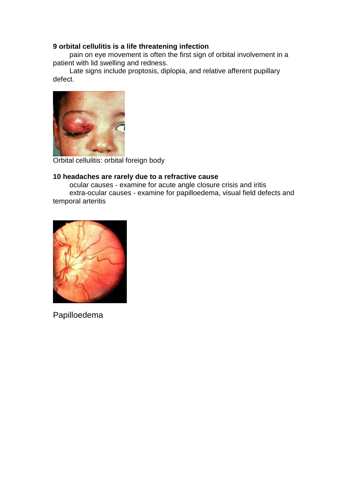## **9 orbital cellulitis is a life threatening infection**

 pain on eye movement is often the first sign of orbital involvement in a patient with lid swelling and redness.

 Late signs include proptosis, diplopia, and relative afferent pupillary defect.



Orbital cellulitis: orbital foreign body

#### **10 headaches are rarely due to a refractive cause**

 ocular causes - examine for acute angle closure crisis and iritis extra-ocular causes - examine for papilloedema, visual field defects and temporal arteritis



Papilloedema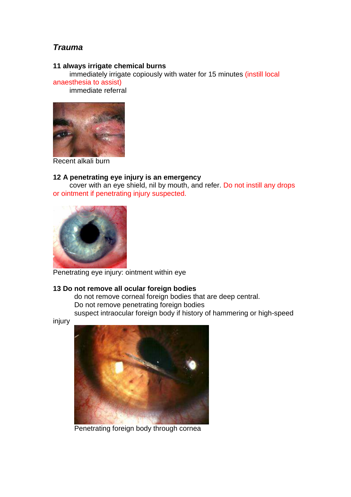## **Trauma**

#### **11 always irrigate chemical burns**

 immediately irrigate copiously with water for 15 minutes (instill local anaesthesia to assist)

immediate referral



Recent alkali burn

#### **12 A penetrating eye injury is an emergency**

 cover with an eye shield, nil by mouth, and refer. Do not instill any drops or ointment if penetrating injury suspected.



Penetrating eye injury: ointment within eye

## **13 Do not remove all ocular foreign bodies**

do not remove corneal foreign bodies that are deep central. Do not remove penetrating foreign bodies suspect intraocular foreign body if history of hammering or high-speed

injury



Penetrating foreign body through cornea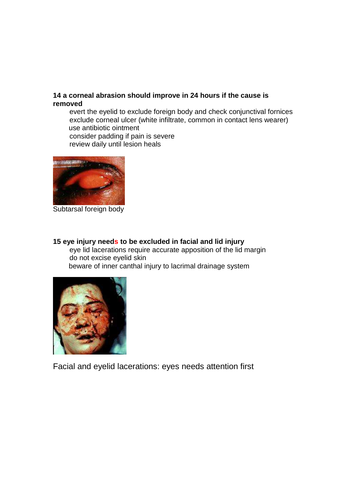### **14 a corneal abrasion should improve in 24 hours if the cause is removed**

evert the eyelid to exclude foreign body and check conjunctival fornices exclude corneal ulcer (white infiltrate, common in contact lens wearer) use antibiotic ointment consider padding if pain is severe review daily until lesion heals



Subtarsal foreign body

#### **15 eye injury needs to be excluded in facial and lid injury**

 eye lid lacerations require accurate apposition of the lid margin do not excise eyelid skin

beware of inner canthal injury to lacrimal drainage system



Facial and eyelid lacerations: eyes needs attention first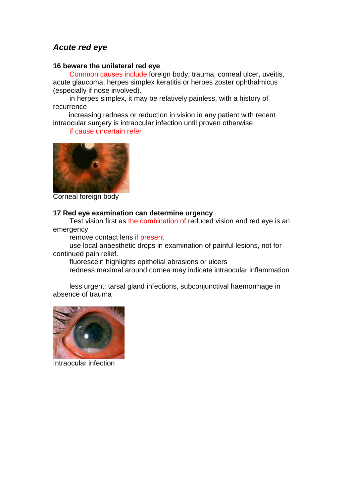## **Acute red eye**

#### **16 beware the unilateral red eye**

Common causes include foreign body, trauma, corneal ulcer, uveitis, acute glaucoma, herpes simplex keratitis or herpes zoster ophthalmicus (especially if nose involved).

 in herpes simplex, it may be relatively painless, with a history of recurrence

increasing redness or reduction in vision in any patient with recent intraocular surgery is intraocular infection until proven otherwise

#### if cause uncertain refer



Corneal foreign body

#### **17 Red eye examination can determine urgency**

Test vision first as the combination of reduced vision and red eye is an emergency

remove contact lens if present

 use local anaesthetic drops in examination of painful lesions, not for continued pain relief.

fluorescein highlights epithelial abrasions or ulcers

redness maximal around cornea may indicate intraocular inflammation

 less urgent: tarsal gland infections, subconjunctival haemorrhage in absence of trauma



Intraocular infection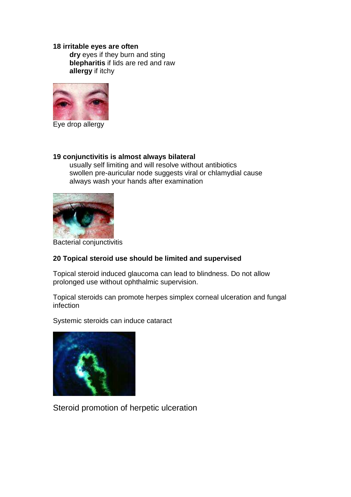#### **18 irritable eyes are often**

**dry** eyes if they burn and sting **blepharitis** if lids are red and raw **allergy** if itchy



Eye drop allergy

#### **19 conjunctivitis is almost always bilateral**

 usually self limiting and will resolve without antibiotics swollen pre-auricular node suggests viral or chlamydial cause always wash your hands after examination



Bacterial conjunctivitis

## **20 Topical steroid use should be limited and supervised**

Topical steroid induced glaucoma can lead to blindness. Do not allow prolonged use without ophthalmic supervision.

Topical steroids can promote herpes simplex corneal ulceration and fungal infection

Systemic steroids can induce cataract



Steroid promotion of herpetic ulceration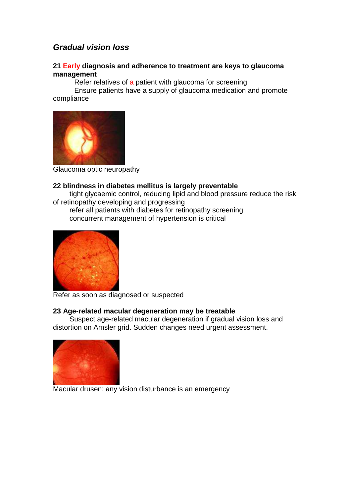## **Gradual vision loss**

#### **21 Early diagnosis and adherence to treatment are keys to glaucoma management**

Refer relatives of a patient with glaucoma for screening

 Ensure patients have a supply of glaucoma medication and promote compliance



Glaucoma optic neuropathy

#### **22 blindness in diabetes mellitus is largely preventable**

 tight glycaemic control, reducing lipid and blood pressure reduce the risk of retinopathy developing and progressing

 refer all patients with diabetes for retinopathy screening concurrent management of hypertension is critical



Refer as soon as diagnosed or suspected

### **23 Age-related macular degeneration may be treatable**

 Suspect age-related macular degeneration if gradual vision loss and distortion on Amsler grid. Sudden changes need urgent assessment.



Macular drusen: any vision disturbance is an emergency